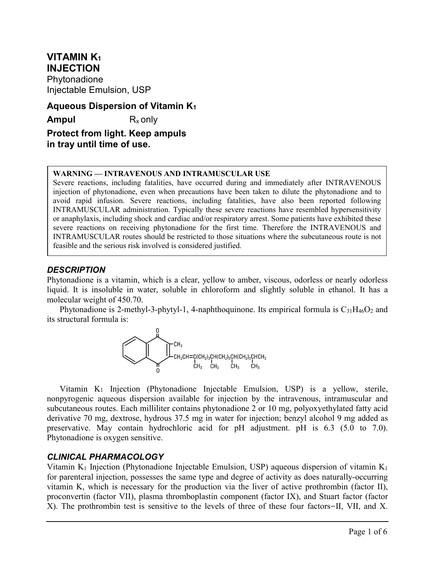**VITAMIN K<sup>1</sup> INJECTION** Phytonadione Injectable Emulsion, USP

**Aqueous Dispersion of Vitamin K<sup>1</sup>**

**Ampul** R<sub>x</sub> only

**Protect from light. Keep ampuls in tray until time of use.**

## **WARNING — INTRAVENOUS AND INTRAMUSCULAR USE**

Severe reactions, including fatalities, have occurred during and immediately after INTRAVENOUS injection of phytonadione, even when precautions have been taken to dilute the phytonadione and to avoid rapid infusion. Severe reactions, including fatalities, have also been reported following INTRAMUSCULAR administration. Typically these severe reactions have resembled hypersensitivity or anaphylaxis, including shock and cardiac and/or respiratory arrest. Some patients have exhibited these severe reactions on receiving phytonadione for the first time. Therefore the INTRAVENOUS and INTRAMUSCULAR routes should be restricted to those situations where the subcutaneous route is not feasible and the serious risk involved is considered justified.

## *DESCRIPTION*

Phytonadione is a vitamin, which is a clear, yellow to amber, viscous, odorless or nearly odorless liquid. It is insoluble in water, soluble in chloroform and slightly soluble in ethanol. It has a molecular weight of 450.70.

Phytonadione is 2-methyl-3-phytyl-1, 4-naphthoquinone. Its empirical formula is  $C_{31}H_{46}O_2$  and its structural formula is:



Vitamin  $K_1$  Injection (Phytonadione Injectable Emulsion, USP) is a yellow, sterile, nonpyrogenic aqueous dispersion available for injection by the intravenous, intramuscular and subcutaneous routes. Each milliliter contains phytonadione 2 or 10 mg, polyoxyethylated fatty acid derivative 70 mg, dextrose, hydrous 37.5 mg in water for injection; benzyl alcohol 9 mg added as preservative. May contain hydrochloric acid for pH adjustment. pH is 6.3 (5.0 to 7.0). Phytonadione is oxygen sensitive.

# *CLINICAL PHARMACOLOGY*

֖֚֚֚֬

Vitamin  $K_1$  Injection (Phytonadione Injectable Emulsion, USP) aqueous dispersion of vitamin  $K_1$ for parenteral injection, possesses the same type and degree of activity as does naturally-occurring vitamin K, which is necessary for the production via the liver of active prothrombin (factor II), proconvertin (factor VII), plasma thromboplastin component (factor IX), and Stuart factor (factor X). The prothrombin test is sensitive to the levels of three of these four factors–II, VII, and X.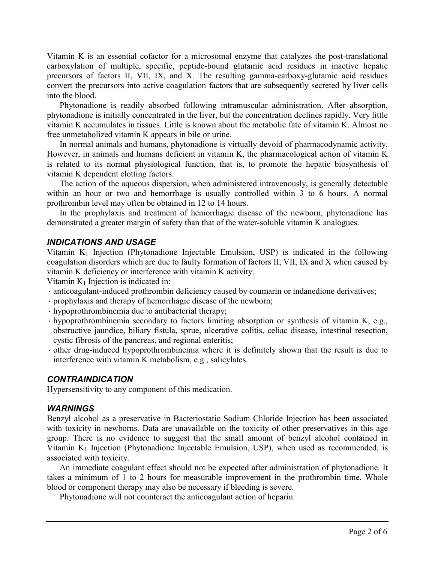Vitamin K is an essential cofactor for a microsomal enzyme that catalyzes the post-translational carboxylation of multiple, specific, peptide-bound glutamic acid residues in inactive hepatic precursors of factors II, VII, IX, and X. The resulting gamma-carboxy-glutamic acid residues convert the precursors into active coagulation factors that are subsequently secreted by liver cells into the blood.

Phytonadione is readily absorbed following intramuscular administration. After absorption, phytonadione is initially concentrated in the liver, but the concentration declines rapidly. Very little vitamin K accumulates in tissues. Little is known about the metabolic fate of vitamin K. Almost no free unmetabolized vitamin K appears in bile or urine.

In normal animals and humans, phytonadione is virtually devoid of pharmacodynamic activity. However, in animals and humans deficient in vitamin K, the pharmacological action of vitamin K is related to its normal physiological function, that is, to promote the hepatic biosynthesis of vitamin K dependent clotting factors.

The action of the aqueous dispersion, when administered intravenously, is generally detectable within an hour or two and hemorrhage is usually controlled within 3 to 6 hours. A normal prothrombin level may often be obtained in 12 to 14 hours.

In the prophylaxis and treatment of hemorrhagic disease of the newborn, phytonadione has demonstrated a greater margin of safety than that of the water-soluble vitamin K analogues.

## *INDICATIONS AND USAGE*

Vitamin  $K_1$  Injection (Phytonadione Injectable Emulsion, USP) is indicated in the following coagulation disorders which are due to faulty formation of factors II, VII, IX and X when caused by vitamin K deficiency or interference with vitamin K activity.

Vitamin  $K_1$  Injection is indicated in:

- ·anticoagulant-induced prothrombin deficiency caused by coumarin or indanedione derivatives;
- ·prophylaxis and therapy of hemorrhagic disease of the newborn;
- ·hypoprothrombinemia due to antibacterial therapy;
- ·hypoprothrombinemia secondary to factors limiting absorption or synthesis of vitamin K, e.g., obstructive jaundice, biliary fistula, sprue, ulcerative colitis, celiac disease, intestinal resection, cystic fibrosis of the pancreas, and regional enteritis;
- ·other drug-induced hypoprothrombinemia where it is definitely shown that the result is due to interference with vitamin K metabolism, e.g., salicylates.

## *CONTRAINDICATION*

Hypersensitivity to any component of this medication.

## *WARNINGS*

֖֚֚֚֬

Benzyl alcohol as a preservative in Bacteriostatic Sodium Chloride Injection has been associated with toxicity in newborns. Data are unavailable on the toxicity of other preservatives in this age group. There is no evidence to suggest that the small amount of benzyl alcohol contained in Vitamin  $K_1$  Injection (Phytonadione Injectable Emulsion, USP), when used as recommended, is associated with toxicity.

An immediate coagulant effect should not be expected after administration of phytonadione. It takes a minimum of 1 to 2 hours for measurable improvement in the prothrombin time. Whole blood or component therapy may also be necessary if bleeding is severe.

Phytonadione will not counteract the anticoagulant action of heparin.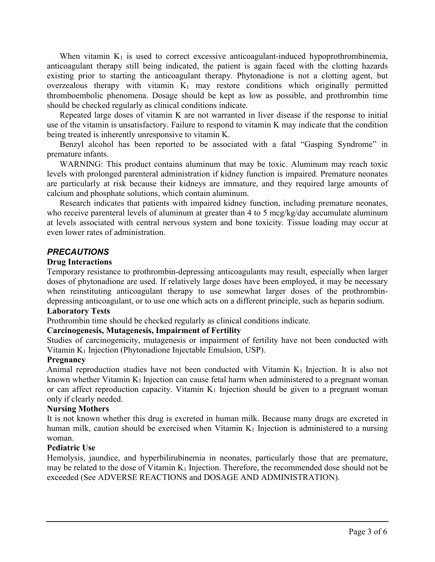When vitamin  $K_1$  is used to correct excessive anticoagulant-induced hypoprothrombinemia, anticoagulant therapy still being indicated, the patient is again faced with the clotting hazards existing prior to starting the anticoagulant therapy. Phytonadione is not a clotting agent, but overzealous therapy with vitamin  $K_1$  may restore conditions which originally permitted thromboembolic phenomena. Dosage should be kept as low as possible, and prothrombin time should be checked regularly as clinical conditions indicate.

Repeated large doses of vitamin K are not warranted in liver disease if the response to initial use of the vitamin is unsatisfactory. Failure to respond to vitamin K may indicate that the condition being treated is inherently unresponsive to vitamin K.

Benzyl alcohol has been reported to be associated with a fatal "Gasping Syndrome" in premature infants.

WARNING: This product contains aluminum that may be toxic. Aluminum may reach toxic levels with prolonged parenteral administration if kidney function is impaired. Premature neonates are particularly at risk because their kidneys are immature, and they required large amounts of calcium and phosphate solutions, which contain aluminum.

Research indicates that patients with impaired kidney function, including premature neonates, who receive parenteral levels of aluminum at greater than 4 to 5 mcg/kg/day accumulate aluminum at levels associated with central nervous system and bone toxicity. Tissue loading may occur at even lower rates of administration.

## *PRECAUTIONS*

#### **Drug Interactions**

Temporary resistance to prothrombin-depressing anticoagulants may result, especially when larger doses of phytonadione are used. If relatively large doses have been employed, it may be necessary when reinstituting anticoagulant therapy to use somewhat larger doses of the prothrombindepressing anticoagulant, or to use one which acts on a different principle, such as heparin sodium.

### **Laboratory Tests**

Prothrombin time should be checked regularly as clinical conditions indicate.

#### **Carcinogenesis, Mutagenesis, Impairment of Fertility**

Studies of carcinogenicity, mutagenesis or impairment of fertility have not been conducted with Vitamin K<sup>1</sup> Injection (Phytonadione Injectable Emulsion, USP).

#### **Pregnancy**

Animal reproduction studies have not been conducted with Vitamin  $K_1$  Injection. It is also not known whether Vitamin  $K_1$  Injection can cause fetal harm when administered to a pregnant woman or can affect reproduction capacity. Vitamin  $K_1$  Injection should be given to a pregnant woman only if clearly needed.

#### **Nursing Mothers**

It is not known whether this drug is excreted in human milk. Because many drugs are excreted in human milk, caution should be exercised when Vitamin  $K_1$  Injection is administered to a nursing woman.

#### **Pediatric Use**

֖֚֚֚֬

Hemolysis, jaundice, and hyperbilirubinemia in neonates, particularly those that are premature, may be related to the dose of Vitamin  $K_1$  Injection. Therefore, the recommended dose should not be exceeded (See ADVERSE REACTIONS and DOSAGE AND ADMINISTRATION).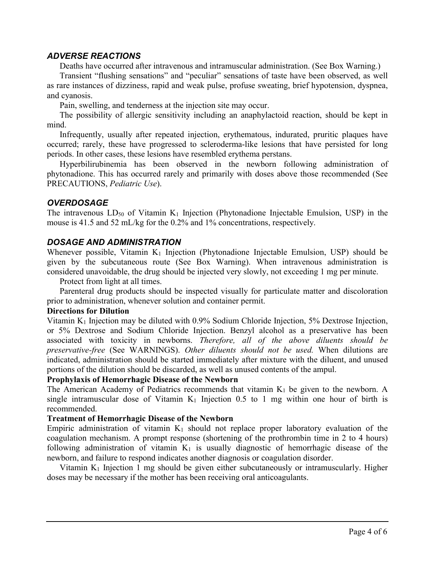## *ADVERSE REACTIONS*

Deaths have occurred after intravenous and intramuscular administration. (See Box Warning.)

Transient "flushing sensations" and "peculiar" sensations of taste have been observed, as well as rare instances of dizziness, rapid and weak pulse, profuse sweating, brief hypotension, dyspnea, and cyanosis.

Pain, swelling, and tenderness at the injection site may occur.

The possibility of allergic sensitivity including an anaphylactoid reaction, should be kept in mind.

Infrequently, usually after repeated injection, erythematous, indurated, pruritic plaques have occurred; rarely, these have progressed to scleroderma-like lesions that have persisted for long periods. In other cases, these lesions have resembled erythema perstans.

Hyperbilirubinemia has been observed in the newborn following administration of phytonadione. This has occurred rarely and primarily with doses above those recommended (See PRECAUTIONS, *Pediatric Use*).

### *OVERDOSAGE*

The intravenous  $LD_{50}$  of Vitamin K<sub>1</sub> Injection (Phytonadione Injectable Emulsion, USP) in the mouse is 41.5 and 52 mL/kg for the 0.2% and 1% concentrations, respectively.

### *DOSAGE AND ADMINISTRATION*

Whenever possible, Vitamin  $K_1$  Injection (Phytonadione Injectable Emulsion, USP) should be given by the subcutaneous route (See Box Warning). When intravenous administration is considered unavoidable, the drug should be injected very slowly, not exceeding 1 mg per minute.

Protect from light at all times.

Parenteral drug products should be inspected visually for particulate matter and discoloration prior to administration, whenever solution and container permit.

#### **Directions for Dilution**

֖֚֚֚֬

Vitamin  $K_1$  Injection may be diluted with 0.9% Sodium Chloride Injection, 5% Dextrose Injection, or 5% Dextrose and Sodium Chloride Injection. Benzyl alcohol as a preservative has been associated with toxicity in newborns. *Therefore, all of the above diluents should be preservative-free* (See WARNINGS). *Other diluents should not be used.* When dilutions are indicated, administration should be started immediately after mixture with the diluent, and unused portions of the dilution should be discarded, as well as unused contents of the ampul.

#### **Prophylaxis of Hemorrhagic Disease of the Newborn**

The American Academy of Pediatrics recommends that vitamin  $K_1$  be given to the newborn. A single intramuscular dose of Vitamin  $K_1$  Injection 0.5 to 1 mg within one hour of birth is recommended.

#### **Treatment of Hemorrhagic Disease of the Newborn**

Empiric administration of vitamin  $K_1$  should not replace proper laboratory evaluation of the coagulation mechanism. A prompt response (shortening of the prothrombin time in 2 to 4 hours) following administration of vitamin  $K_1$  is usually diagnostic of hemorrhagic disease of the newborn, and failure to respond indicates another diagnosis or coagulation disorder.

Vitamin  $K_1$  Injection 1 mg should be given either subcutaneously or intramuscularly. Higher doses may be necessary if the mother has been receiving oral anticoagulants.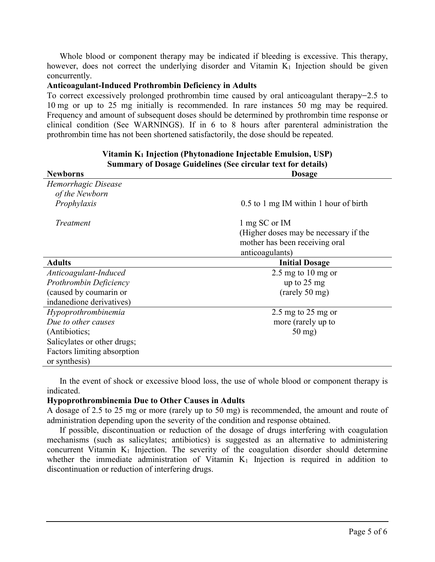Whole blood or component therapy may be indicated if bleeding is excessive. This therapy, however, does not correct the underlying disorder and Vitamin  $K_1$  Injection should be given concurrently.

### **Anticoagulant-Induced Prothrombin Deficiency in Adults**

To correct excessively prolonged prothrombin time caused by oral anticoagulant therapy—2.5 to 10 mg or up to 25 mg initially is recommended. In rare instances 50 mg may be required. Frequency and amount of subsequent doses should be determined by prothrombin time response or clinical condition (See WARNINGS). If in 6 to 8 hours after parenteral administration the prothrombin time has not been shortened satisfactorily, the dose should be repeated.

| $\sim$ $\sim$ $\sim$ $\sim$ $\sim$ $\sim$<br><b>Newborns</b> | <b>Dosage</b>                           |
|--------------------------------------------------------------|-----------------------------------------|
| Hemorrhagic Disease                                          |                                         |
| of the Newborn                                               |                                         |
| Prophylaxis                                                  | $0.5$ to 1 mg IM within 1 hour of birth |
| <i>Treatment</i>                                             | 1 mg SC or IM                           |
|                                                              | (Higher doses may be necessary if the   |
|                                                              | mother has been receiving oral          |
|                                                              | anticoagulants)                         |
| <b>Adults</b>                                                | <b>Initial Dosage</b>                   |
| Anticoagulant-Induced                                        | $2.5$ mg to 10 mg or                    |
| Prothrombin Deficiency                                       | up to $25 \text{ mg}$                   |
| (caused by coumarin or                                       | (rarely 50 mg)                          |
| indanedione derivatives)                                     |                                         |
| Hypoprothrombinemia                                          | $2.5$ mg to $25$ mg or                  |
| Due to other causes                                          | more (rarely up to                      |
| (Antibiotics;                                                | $50 \text{ mg}$ )                       |
| Salicylates or other drugs;                                  |                                         |
| Factors limiting absorption                                  |                                         |
| or synthesis)                                                |                                         |

## **Vitamin K<sup>1</sup> Injection (Phytonadione Injectable Emulsion, USP) Summary of Dosage Guidelines (See circular text for details)**

In the event of shock or excessive blood loss, the use of whole blood or component therapy is indicated.

#### **Hypoprothrombinemia Due to Other Causes in Adults**

֖֚֚֚֬

A dosage of 2.5 to 25 mg or more (rarely up to 50 mg) is recommended, the amount and route of administration depending upon the severity of the condition and response obtained.

If possible, discontinuation or reduction of the dosage of drugs interfering with coagulation mechanisms (such as salicylates; antibiotics) is suggested as an alternative to administering concurrent Vitamin  $K_1$  Injection. The severity of the coagulation disorder should determine whether the immediate administration of Vitamin  $K_1$  Injection is required in addition to discontinuation or reduction of interfering drugs.